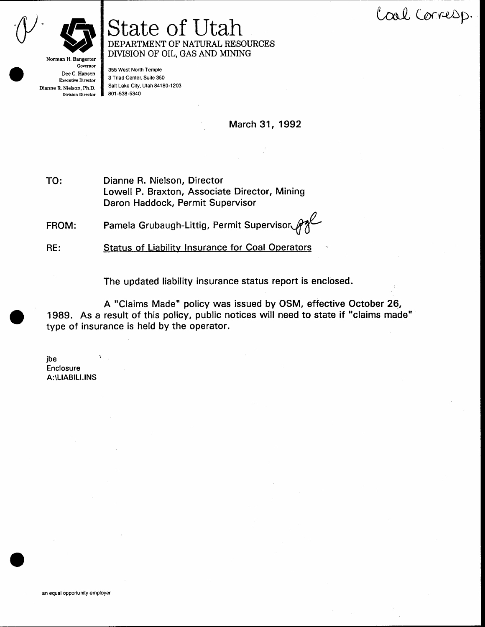Cool Corresp.



## State of Utah DEPARTMENT OF NATURAL RESOURCES DIVISION OF OIL, GAS AND MINING

Norman H. Bangerter Governor Dee C. Hansen **Executive Director** Dianne R. Nielson, Ph.D. **Division Director** 

355 West North Temple 3 Triad Center, Suite 350 Salt Lake City, Utah 84180-1203 801-538-5340

March 31, 1992

Dianne R. Nielson, Director TO: Lowell P. Braxton, Associate Director, Mining Daron Haddock, Permit Supervisor

Pamela Grubaugh-Littig, Permit Supervisor FROM:

**Status of Liability Insurance for Coal Operators** RE:

The updated liability insurance status report is enclosed.

A "Claims Made" policy was issued by OSM, effective October 26, 1989. As a result of this policy, public notices will need to state if "claims made" type of insurance is held by the operator.

jbe Enclosure A:\LIABILI.INS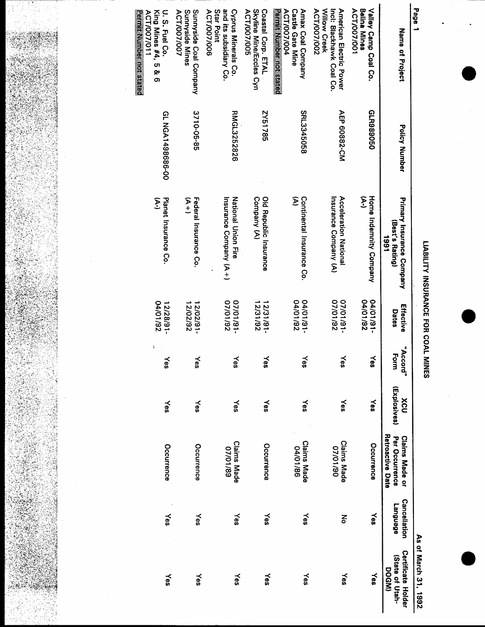

LIABILITY INSURANCE FOR COAL MINES

| Page 1                                                                                                            |                      |                                                             |                          |                      |                     |                                                                    |                                        | As of March 31, 1992                                  |
|-------------------------------------------------------------------------------------------------------------------|----------------------|-------------------------------------------------------------|--------------------------|----------------------|---------------------|--------------------------------------------------------------------|----------------------------------------|-------------------------------------------------------|
| Name of Project                                                                                                   | <b>Policy Number</b> | <b>Primary Insurance Company</b><br>(Best's Rating)<br>1661 | Effective<br>Dates       | "Accord"<br>ŋ<br>orm | (Explosives)<br>XCU | Per Occurrence<br><b>Retroactive Date</b><br><b>Claims Made or</b> | <b>Cancellation</b><br><b>Fanguage</b> | <b>Certificate Holder</b><br>(State of Utah-<br>DOGM) |
| Valley Camp Coal Co.<br><b>ACT/007/001</b><br>Belina Mines                                                        | GLR989050            | £<br>Home Indemnity Company                                 | 26/10/70<br>$-16/101/50$ | ទី                   | <b>Nes</b>          | Occurrence                                                         | Yes                                    | ≿es                                                   |
| Willow Creek<br>American Electric Power<br>ACT/007/002<br>Inci: Blackhawk Coal Co.                                | AEP 60882-CM         | Acceleration National<br>Insurance Company (A)              | 26/10/20<br>-18110/20    | οs                   | Yes                 | <b>Claims Made</b><br>02/10/20                                     | š                                      | Yes                                                   |
| ACT/007/004<br>Amax Coal Company<br><b>Castle Gate Mine</b>                                                       | SRL3345058           | Σ<br>Continental Insurance Co.                              | 26/10/70<br>$-16/10/10$  | ទី                   | Yes                 | <b>Claims Made</b><br>04/01/86                                     | Yes                                    | Yes                                                   |
| Skyline Mine/Eccles Cyn<br>Coastal Corp. ETAL<br><b>ACT/007/005</b>                                               | 2Y51785              | Old Republic Insurance<br>Company (A)                       | 12/31/92<br>$-181181 -$  | čs                   | Yes                 | Occurrence                                                         | Yes                                    | Yes                                                   |
| and its subsidiary Co.<br>Star Point<br><b>Cyprus Minerals Co.</b><br>ACT/007/006                                 | <b>RMGL3252826</b>   | National Union Fire<br>Insurance Company (A+)               | 26/10/20<br>$-18/10/21$  | γes                  | Yes                 | <b>Claims Made</b><br>07/01/89                                     | Yes                                    | Yes                                                   |
| Sunnyside Coal Company<br>Sunnyside Mines<br>ACT/007/007                                                          | 3710-05-85           | Federal Insurance Co.<br>F<br>H                             | 12/02/92<br>12/02/91     | kes                  | Yes                 | Occurrence                                                         | Yes                                    | yes                                                   |
| <b>Better Address and Street</b> of Street<br>King Mines #4,<br>U. S. Fuel Co.<br>ACT/007/011<br><b>១ &amp; G</b> | Q0-989865149M19      | Planet Insurance Co.<br>كي<br>ح                             | 04/01/92<br>$-18/82/21$  | λes                  | Yes                 | Occurrence                                                         | Yes                                    | Yes                                                   |

ŧ

SW 18

 $\frac{1}{2}$ 

照复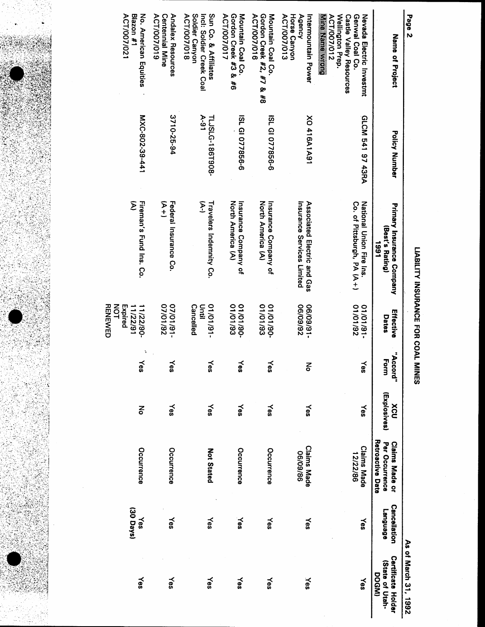| ı |
|---|
|   |
|   |
|   |
|   |

| Page 2                                                                                                                  |                                  |                                                             |                                                                  |                  |                            |                                                             |                                | As of March 31, 1992                                  |
|-------------------------------------------------------------------------------------------------------------------------|----------------------------------|-------------------------------------------------------------|------------------------------------------------------------------|------------------|----------------------------|-------------------------------------------------------------|--------------------------------|-------------------------------------------------------|
| Name of Project                                                                                                         | <b>Policy Number</b>             | <b>Primary Insurance Company</b><br>(Best's Rating)<br>1991 | Effective<br>Dates                                               | "Accord"<br>Form | (Explosives)<br><b>XCU</b> | Retroactive Date<br><b>Claims Made or</b><br>Per Occurrence | <b>Cancellation</b><br>ponousa | <b>Certificate Holder</b><br>(State of Utah-<br>DOGM) |
| Wellington Prep.<br>Genwal Coal Co.<br>Nevada Electric Investmt<br><b>ACT/007/012</b><br><b>Castle Valley Resources</b> | GLCM 541 97 43RA                 | Co. of Pittsburgh, PA (A+)<br>National Union Fire Ins       | 01/01/92<br>$-16/10/10$                                          | Yes              | Yes                        | <b>Claims Made</b><br>12/22/86                              | ≿es                            | Yes                                                   |
| <b>Agency</b><br>ACT/007/013<br>Horse Canyon<br>Intermountain Power                                                     | <b>NO 416A1A91</b>               | Insurance Services Limited<br>Associated Electric and Gas   | 26/60/90<br>-16/60/90                                            | 중                | Yes                        | <b>Claims Made</b><br>06/09/86                              | Yes                            | Yes                                                   |
| Gordon Creek #2, #7 & #8<br><b>ACT/007/016</b><br>Mountain Coal Co.                                                     | ISL GI 077856-6                  | North America (A)<br>Insurance Company of                   | 01/01/93<br>$-06/10/10$                                          | Yes              | Yes                        | Occurrence                                                  | Yes                            | Yes                                                   |
| Gordon Creek #3 & #6<br><b>ACT/007/017</b><br>Mountain Coal Co.                                                         | ISL GI 077856-6                  | North America (A)<br>Insurance Company of                   | 01/01/93<br>-06/10/10                                            | Yes              | Yes                        | Occurrence                                                  | Yes                            | $\approx$                                             |
| Sun Co. & Affiliates<br>ACT/007/018<br>Soldier Canyon<br>Incl: Soldier Creek Coal                                       | $\lambda$ -91<br>TLJSLG-186T908- | E<br>Travelers Indemnity Co.                                | <b>Cancelled</b><br>Until<br>-16/10/10                           | Yes              | ≫s                         | <b>Not Stated</b>                                           | ≻es                            | Yes                                                   |
| <b>Andalex Resources</b><br>ACT/007/019<br><b>Centennial Mine</b>                                                       | 3710-25-94                       | A+)<br>Federal Insurance Co.                                | 26/10/20<br>$-16/10/21$                                          | Yes              | ≻es                        | Occurrence                                                  | Yes                            | Yes                                                   |
| No. American Equities<br>ACT/007/021<br>Blazon #1                                                                       | MXC-802-39-441                   | Σ<br>Fireman's Fund Ins. Co.                                | <b>RENEWED</b><br><b>NOT</b><br>Expired<br>11/22/91<br>11/22/90- | Yes              | 종                          | Occurrence                                                  | (30 Days)<br>≿es               | Yes                                                   |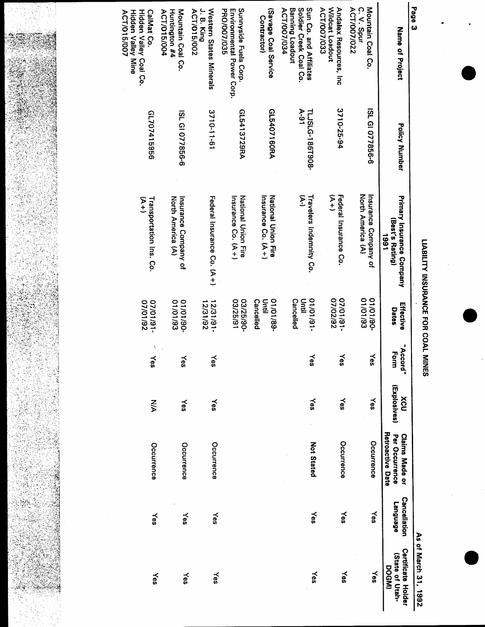LIABILITY INSURANCE FOR COAL MINES

As of March 31, 1992

| Page 3                                                                                  |                           |                                                      |                                           |                  |                     |                                                             |                                        | עבו והמומונה וה נהג                                    |
|-----------------------------------------------------------------------------------------|---------------------------|------------------------------------------------------|-------------------------------------------|------------------|---------------------|-------------------------------------------------------------|----------------------------------------|--------------------------------------------------------|
| Name of Project                                                                         | Policy Number             | Primary Insurance Company<br>(Best's Rating)<br>1991 | Effective<br>Dates                        | "Accord"<br>Form | (Explosives)<br>Xcu | Retroactive Date<br><b>Claims Made or</b><br>Per Occurrence | <b>Cancellation</b><br><b>Fanguage</b> | <b>Certificate Holder</b><br>(State of Utah-<br>DOGMI) |
| Mountain Coal Co.<br>ACT/007/022<br>C. V. Spur                                          | ISL GI 077856-6           | North America (A)<br>Insurance Company of            | 01/01/93<br>01/01/90-                     | Yes              | Yes                 | Occurrence                                                  | ≻es                                    | Yes                                                    |
| Wildcat Loadout<br>Andalex Resources, Inc<br>ACT/007/033                                | 3710-25-94                | $\sum_{t=1}^{n}$<br>Federal Insurance Co.            | $-16110120$<br>26/202/2                   | $\leq$           | Yes                 | Occurrence                                                  | Yes                                    | Yes                                                    |
| Sun Co. and Affiliates<br>Soldier Creek Coal Co.<br>ACT/007/034<br>Banning Loadout      | $A-91$<br>TLJSLG-186T908- | ع<br>Travelers Indemnity Co.                         | <b>Cancelled</b><br>들<br>르<br>$-16/10/10$ | ≿es              | Yes                 | <b>Not Stated</b>                                           | Yes                                    | Yes                                                    |
| (Savage Coal Service<br><b>Contractor</b> )                                             | GL5407160RA               | Insurance Co. (A+)<br><b>National Union Fire</b>     | -88/10/10<br>Cancelled<br>Until           |                  |                     |                                                             |                                        |                                                        |
| Sunnyside Fuels Corp.<br>PRO/007/035<br>Environmental Power Corp.                       | GL5413729RA               | National Crion Fire<br>Insurance Co. (A+)            | 18/25/91<br>03/25/90-                     |                  |                     |                                                             |                                        |                                                        |
| Western States Minerals<br>J. B. King<br><b>ACT/015/002</b>                             | 16-11-0175                | Federal Instrance Co. (A+)                           | 12/31/92<br>12/31/91                      | Yes              | Yes                 | Occurrence                                                  | Yes                                    | Yes                                                    |
| ACT/015/004<br>Mountain Coal Co.<br>Huntington #4                                       | ISL GI 077856-6           | North America (A)<br>Insurance Company of            | 01/01/93<br>$-06/10/10$                   | Yes              | Yes                 | Occurrence                                                  | yes                                    | Yes                                                    |
| Hidden Valley Coal Co.<br><b>CalMat Co.</b><br>Hidden Valley Mihe<br><b>ACT/015/007</b> | 9969174029                | স<br>+<br>Transportation Ins. Co.                    | 26/10/20<br>-18110170                     | Yes              | $\sum_{i=1}^{n}$    | Occurrence                                                  | Yes                                    | Yes                                                    |

348

ia<br>T

ŷ

ł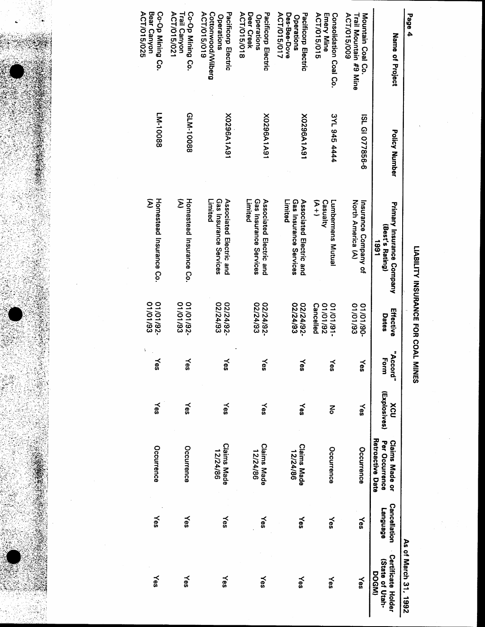| i<br>۱<br>I |
|-------------|
| ۱           |
|             |
|             |

ACT/015/025 Co-Op Mining Co. ACT/015/021 Bear Canyon Trail Canyon Co-Op Mining Co. ACT/015/019 Cottonwood/Wilberg Pacificorp Electric ACT/015/018 Deer Creek **ACT/015/015 Emery Mine** ACT/015/009 Mountain Coal Co. Pacificorp Electric ACT/015/017 Des-Bee-Dove Pacificorp Electric Consolidation Coal Co. Trail Mountain #9 Mine Page 4 Operations Operations Operations Name of Project FM-10088 GLM-10088 3YL 945 4444 X0296A1A91 X0296A1A91 X0296A1A91 ISL GI 077856-6 Policy Number Σ Homestead Insurance Co. Σ Homestead Insurance Co. Limited Gas Insurance Services Associated Electric and Gas Insurance Services Associated Electric and Limited Gas Insurance Services  $\widetilde{A}$ Limited Associated Electric and Casualty **Lumbermens Mutual** North America (A) Insurance Company of Primary Insurance Company (Best's Rating) 1661 01/01/93 01/01/93 01/01/92 16/10/192 01/01/93 02/24/93 02/24/93 02/24/92 02/24/92-02/24/93 02/24/92 **Cancelled** Effective Dates "Accord" Form Yes Yes Yes Yes  $\leq$ Yes Yes (Explosives) ≿es  $X$ es ≿es Yes XCU Yes ≿es 중 Retroactive Date Claims Made or<br>Per Occurrence **Claims Made**<br>12/24/86 **Claims Made Claims Made** Occurrence Occurrence Occurrence Occurrence 12/24/86 12/24/86 Cancellation **Language** ≿es Yes Yes ≿es Yes Yes Yes As of March 31, 1992 **Certificate Holder** (State of Utah-DOGM) Yes Yes Yes Yes Yes Yes Yes